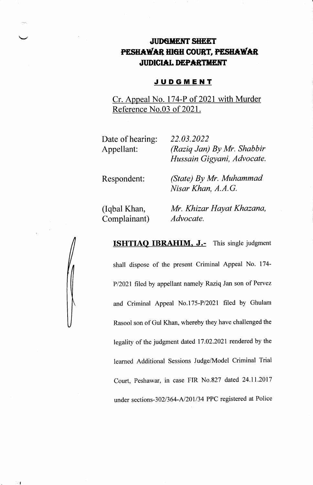# **JUDGMENT SHEET** PESHAWAR HIGH COURT, PESHAWAR JUDICIAL DEPARTMENT

#### **JUDGMENT**

Cr. Appeal No. 174-P of 2021 with Murder Reference No.03 of 2021.

| Date of hearing: | 22.03.2022                                               |
|------------------|----------------------------------------------------------|
| Appellant:       | (Raziq Jan) By Mr. Shabbir<br>Hussain Gigyani, Advocate. |
|                  |                                                          |

Respondent:

(State) By Mr. Muhammad Nisar Khan, A.A.G.

(Iqbal Khan, Complainant) Mr. Khizar Hayat Khazana, Advocate.

**ISHTIAQ IBRAHIM, J.-** This single judgment

shall dispose of the present Criminal Appeal No. 174' P/2021 filed by appellant namely Raziq Jan son of Pervez and Criminal Appeal No.175-P/2021 filed by Ghulam Rasool son of Gul Khan, whereby they have challenged the legality of the judgment dated 17.02.2021 rendered by the learned Additional Sessions Judge/Model Criminal Trial Court, Peshawar, in case FIR No.827 dated 24.11.2017 under sections-302/364-A/201/34 PPC registered at Police



小泽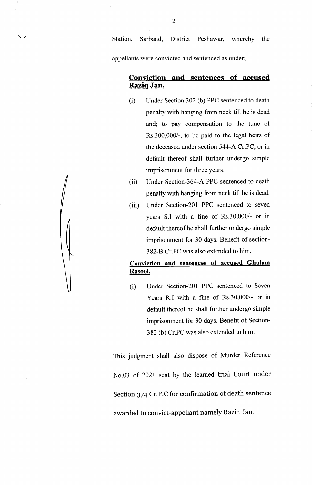Station, Sarband, District Peshawar, whereby the appellants were convicted and sentenced as under;

### Conviction and sentences of accused Raziq Jan.

- (i) Under Section 302 (b) PPC sentenced to death penalty with hanging from neck till he is dead and; to pay compensation to the tune of Rs.300,000/-, to be paid to the legal heirs of the deceased under section 544-A Cr.PC, or in default thereof shall further undergo simple imprisonment for three years.
- (ii) Under Section-364-A PPC sentenced to death penalty with hanging from neck till he is dead.
- (iii) Under Section-2Ol PPC sentenced to seven years S.I with a fine of Rs.30,000/- or in default thereof he shall further undergo simple imprisonment for 30 days. Benefit of section-382-B Cr.PC was also extended to him.

## Conviction and sentences of accused Ghulam Rasool.

(i) Under Section-20l PPC sentenced to Seven Years R.I with a fine of Rs.30,000/- or in default thereof he shall further undergo simple imprisonment for 30 days. Benefit of Section-382 (b) Cr.PC was also extended to him.

This judgment shall also dispose of Murder Reference No.03 of 2O2l sent by the learned trial Court under Section 374 Cr.P.C for confirmation of death sentence awarded to convict-appellant namely Raziq Jan.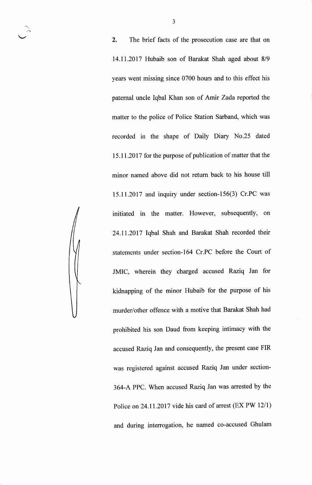2. The brief facts of the prosecution case are that on 14.11.2017 Hubaib son of Barakat Shah aged about 8/9 years went missing since 0700 hours and to this effect his paternal uncle Iqbal Khan son of Amir Zada reported the matter to the police of Police Station Sarband, which was recorded in the shape of Daily Diary No.25 dated 15.11 .2017 for the purpose of publication of matter that the minor named above did not return back to his house till 15.11.2017 and inquiry under section-156(3) Cr.PC was initiated in the matter. However, subsequently, on 24.11.2017 Iqbal Shah and Barakat Shah recorded their statements under section-164 Cr.PC before the Court of JMIC, wherein they charged accused Raziq Jan for kidnapping of the minor Hubaib for the purpose of his murder/other offence with a motive that Barakat Shah had prohibited his son Daud from keeping intimacy with the accused Raziq Jan and consequently, the present case FIR was registered against accused Raziq Jan under section-364-A PPC. When accused Raziq Jan was arrested by the Police on 24.11.2017 vide his card of arrest (EX PW 12/1) and during interrogation, he named co-accused Ghulam

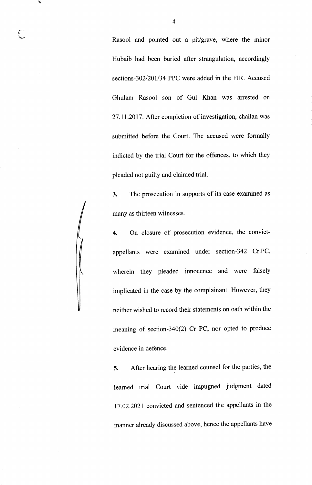Rasool and pointed out a pit/grave, where the minor Hubaib had been buried after strangulation, accordingly sections-302/201/34 PPC were added in the FIR. Accused Ghulam Rasool son of Gul Khan was arrested on 27 .11.2017 . After completion of investigation, challan was submitted before the Court. The accused were formally indicted by the trial Court for the offences, to which they pleaded not guilty and claimed trial.

4

t

 $\sqrt{2}$ 

3. The prosecution in supports of its case examined as many as thirteen witnesses.

4. On closure of prosecution evidence, the convictappellants were examined under section-342 Cr.PC, wherein they pleaded innocence and were falsely implicated in the case by the complainant. However, they neither wished to record their statements on oath within the meaning of section-340(2) Cr PC, nor opted to produce evidence in defence

5. After hearing the learned counsel for the parties, the learned trial Court vide impugned judgment dated 17.02.2021 convicted and sentenced the appellants in the manner already discussed above, hence the appellants have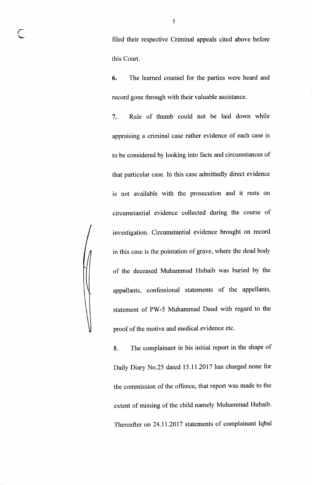filed their respective Criminal appeals cited above before this Court.

6. The learned counsel for the parties were heard and record gone through with their valuable assistance.

7. Rule of thumb could not be laid down while appraising a criminal case rather evidence of each case is to be considered by looking into facts and circumstances of that particular case. In this case admittedly direct evidence is not available with the prosecution and it rests on circumstantial evidence collected during the course of investigation. Circumstantial evidence brought on record in this case is the pointation of grave, where the dead body of the deceased Muhammad Hubaib was buried by the appollants, confessional statements of the appellants, statement of PW-5 Muhammad Daud with regard to the proof of the motive and medical evidence etc.

8. The complainant in his initial report in the shape of Daily Diary No.25 dated 15.11 .2017 has charged none for the commission of the offence, that report was made to the extent of missing of the child namely Muhammad Hubaib. Thereafter on24.11.2Ol7 statements of complainant Iqbal

r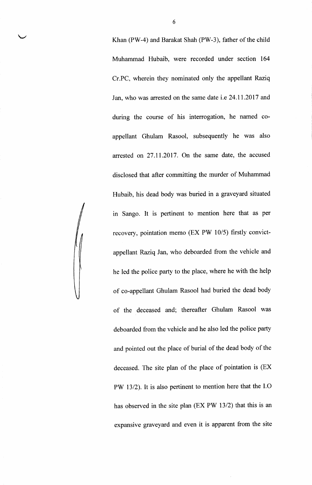Khan (PW-4) and Barakat Shah (PW-3), father of the child Muhammad Hubaib, were recorded under section 164 Cr.PC, wherein they nominated only the appellant Raziq Jan, who was arrested on the same date i.e 24.11.2017 and during the course of his interrogation, he named coappellant Ghulam Rasool, subsequently he was also arrested on 27.11.2017. On the same date, the accused disclosed that after committing the murder of Muhammad Hubaib, his dead body was buried in a graveyard situated in Sango. It is pertinent to mention here that as per recovery, pointation memo (EX PW 10/5) firstly convictappellant Raziq Jan, who deboarded from the vehicle and he led the police party to the place, where he with the help of co-appellant Ghulam Rasool had buried the dead body of the deceased and; thereafter Ghulam Rasool was deboarded from the vehicle and he also led the police party and pointed out the place of burial of the dead body of the deceased. The site plan of the place of pointation is (EX PW 13/2). It is also pertinent to mention here that the I.O has observed in the site plan (EX PW 13/2) that this is an expansive graveyard and even it is apparent from the site

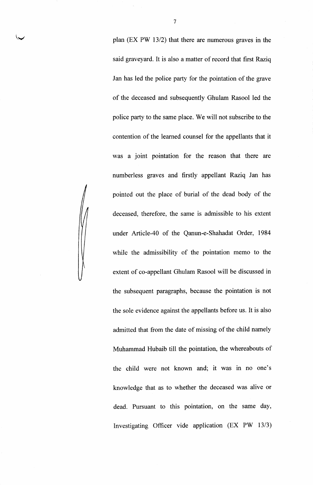plan (EX PW 13/2) that there are numerous graves in the said graveyard. It is also a matter of record that first Raziq Jan has led the police party for the pointation of the grave of the deceased and subsequently Ghulam Rasool led the police party to the same place. We will not subscribe to the contention of the learned counsel for the appellants that it was a joint pointation for the reason that there are numberless graves and firstly appellant Raziq Jan has pointed out the place of burial of the dead body of the deceased, therefore, the same is admissible to his extent under Article-40 of the Qanun-e-Shahadat Order, <sup>1984</sup> while the admissibility of the pointation memo to the extent of co-appellant Ghulam Rasool will be discussed in the subsequent paragraphs, because the pointation is not the sole evidence against the appellants before us. It is also admitted that from the date of missing of the child namely Muhammad Hubaib till the pointation, the whereabouts of the child were not known and; it was in no one's knowledge that as to whether the deceased was alive or dead. Pursuant to this pointation, on the same day, Investigating Officer vide application (EX PW 13/3)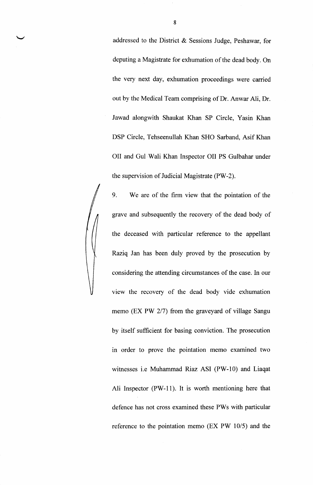addressed to the District & Sessions Judge, Peshawar, for deputing a Magistrate for exhumation of the dead body. On the very next day, exhumation proceedings were carried out by the Medical Team comprising of Dr. Anwar Ali, Dr Jawad alongwith Shaukat Khan SP Circle, Yasin Khan DSP Circle, Tehseenullah Khan SHO Sarband, Asif Khan OII and Gul Wali Khan Inspector OII PS Gulbahar under the supervision of Judicial Magistrate (PW-2).

9. We are of the firm view that the pointation of the grave and subsequently the recovery of the dead body of the deceased with particular reference to the appellant Raziq Jan has been duly proved by the prosecution by considering the attending circumstances of the case. In our view the recovery of the dead body vide exhumation memo (EX PW 2/7) from the graveyard of village Sangu by itself sufficient for basing conviction. The prosecution in order to prove the pointation memo examined two witnesses i.e Muhammad Riaz ASI (PW-10) and Liaqat Ali Inspector (PW-11). It is worth mentioning here that defence has not cross examined these PWs with particular reference to the pointation memo (EX PW 10/5) and the

8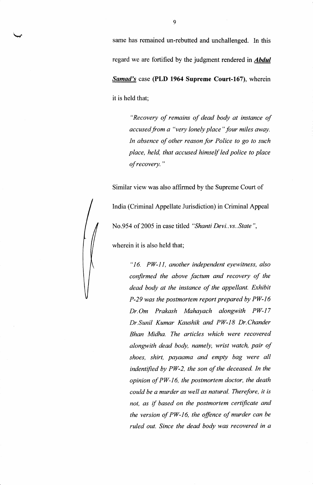same has remained un-rebutted and unchallenged. In this regard we are fortified by the judgment rendered in **Abdul** Samad's case (PLD 1964 Supreme Court-167), wherein it is held that;

> "Recovery of remains of dead body at instance of accused from a "very lonely place" four miles away. In absence of other reason for Police to go to such place, held, that accused himself led police to place ofrecovery."

Similar view was also affirmed by the Supreme Court of



wherein it is also held that;

"16. PW-ll, another independent eyewitness, also confirmed the above factum and recovery of the dead body at the instance of the appellant. Exhibit  $P-29$  was the postmortem report prepared by  $PW-16$ Dr.Om Prakash Mahayach alongwith PW-17 Dr.Sunil Kumar Kaushik and PW-18 Dr.Chander Bhan Midha. The articles which were recovered alongwith dead body, namely, wrist watch, pair of shoes, shirt, payaama and empty bag were all indentified by PW-2, the son of the deceased. In the opinion of PW-16, the postmortem doctor, the death could be a murder as well as natural. Therefore, it is not, as if based on the postmortem certificate and the version of PW-16, the offence of murder can be ruled out. Since the dead body was recovered in a

 $\downarrow$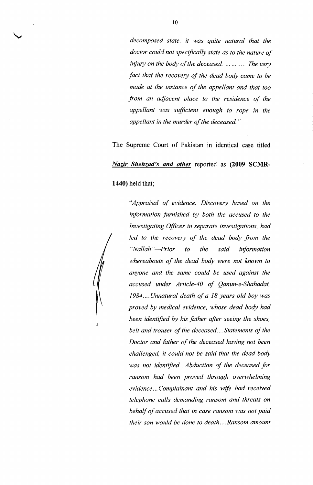decomposed state, it was quite natural that the doctor could not specifically state as to the nature of injury on the body of the deceased. ... ... The very fact that the recovery of the dead body came to be made at the instance of the appellant and that too from an adjacent place to the residence of the appellant was sufficient enough to rope in the appellant in the murder of the deceased. "

The Supreme Court of Pakistan in identical case titled Nazir Shehzad's and other reported as (2009 SCMR-

1440) held that;



V

"Appraisal of evidence. Discovery based on the information furnished by both the accused to the Investigating Officer in separate investigations, had led to the recovery of the dead body from the "Nallah"-Prior to the said information whereabouts of the dead body were not known to anyone and the same could be used against the accused under Article-40 of Qanun-e-Shahadat, 1984....Unnatural death of a IB years old boy was proved by medical evidence, whose dead body had been identified by his father after seeing the shoes, belt and trouser of the deceased....Statements of the Doctor and father of the deceased having not been challenged, it could not be said that the dead body was not identified...Abduction of the deceased for ransom had been proved through overwhelming evidence...Complainant and his wife had received telephone calls demanding ransom and threats on behalf of accused that in case ransom was not paid their sonwould be done to death....Ransom amount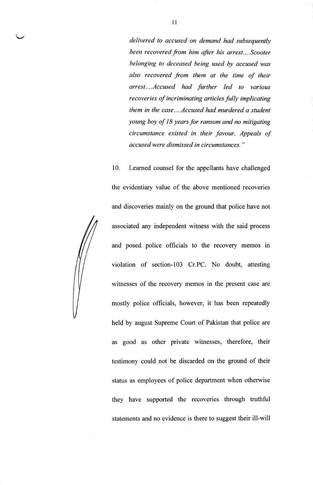delivered to accused on demand had subsequently been recovered from him after his arrest....Scooter belonging to deceased being used by accused was also recovered from them at the time of their arrest....Accused had further led to various recoveries of incriminating articles fully implicating them in the case....Accused had murdered a student young boy of 18 years for ransom and no mitigating circumstance existed in their favour. Appeals of accused were dismissed in circumstances."

10. Learned counsel for the appellants have challenged

the evidentiary value of the above mentioned recoveries and discoveries mainly on the ground that police have not associated any independent witness with the said process and posed police officials to the recovery memos in violation of section-103 Cr.PC. No doubt, attesting witnesses of the recovery memos in the present case are mostly police officials, however, it has been repeatedly held by august Supreme Court of Pakistan that police are as good as other private witnesses, therefore, their testimony could not be discarded on the ground of their status as employees of police department when otherwise they have supported the recoveries through truthful statements and no evidence is there to suggest their ill-will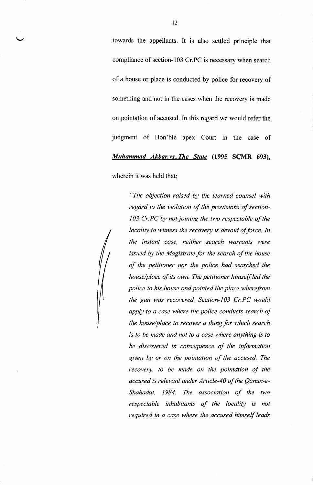towards the appellants. It is also settled principle that compliance of section-IO3 Cr.PC is necessary when search of a house or place is conducted by police for recovery of something and not in the cases when the recovery is made on pointation of accused. In this regard we would refer the judgment of Hon'ble apex Court in the case of Muhammad Akbar.vs..The State (1995 SCMR 693),

wherein it was held that;

"The objection raised by the learned counsel with regard to the violation of the provisions of section-103 Cr.PC by not joining the two respectable of the locality to witness the recovery is devoid of force. In the instant cose, neither search warrants were issued by the Magistrate for the search of the house of the petitioner nor the police had searched the house/place of its own. The petitioner himself led the police to his house and pointed the place wherefrom the gun was recovered. Section- $103$  Cr.PC would apply to a case where the police conducts search of the house/place to recover a thing for which search is to be made and not to a case where anything is to be discovered in consequence of the information given by or on the pointation of the accused. The recovery, to be made on the pointation of the accused is relevant under Article-40 of the Qanun-e-Shahadat, 1984. The association of the two respectable inhabitants of the locality is not required in a case where the accused himself leads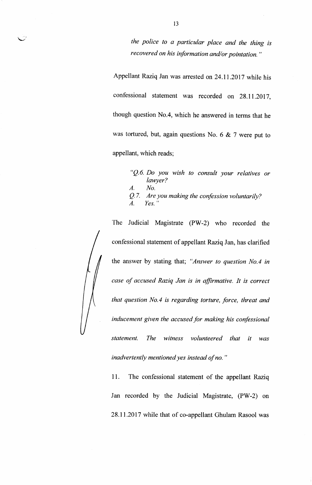the police to a particular place and the thing is recovered on his information and/or pointation."

Appellant Raziq Jan was arrested on 24.11.2017 while his confessional statement was recorded on 28.11.2017, though question No.4, which he answered in terms that he was tortured, but, again questions No. 6 & 7 were put to appellant, which reads;

> "Q.6. Do you wish to consult your relatives or lanyer? No.  $Q.7$ . Are you making the confession voluntarily? Yes. " A,  $\overline{A}$ .

The Judicial Magistrate (PW-2) who recorded the confessional statement of appellant Raziq Jan, has clarified the answer by stating that; "Answer to question No.4 in case of accused Raziq Jan is in affirmative. It is correct that question No.4 is regarding torture, force, threat and inducement given the accused for making his confessional statement. The witness volunteered that it was inadvertently mentioned yes instead of no. "

<sup>I</sup>1. The confessional statement of the appellant Raziq Jan recorded by the Judicial Magistrate, (PW-2) on 28.11.2017 while that of co-appellant Ghulam Rasool was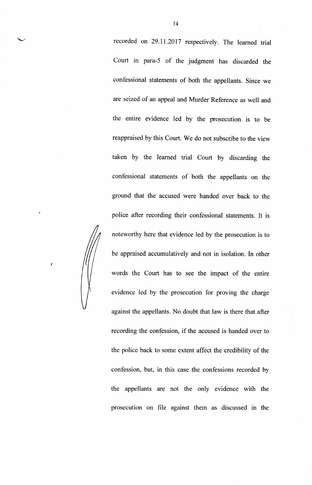recorded on 29.11.2017 respectively. The learned trial Court in para-S of the judgment has discarded the confessional statements of both the appellants. Since we are seized of an appeal and Murder Reference as well and the entire evidence led by the prosecution is to be reappraised by this Court. We do not subscribe to the view taken by the learned trial Court by discarding the confessional statements of both the appellants on the ground that the accused were handed over back to the police after recording their confessional statements. It is noteworthy here that evidence led by the prosecution is to be appraised accumulatively and not in isolation. In other words the Court has to see the impact of the entire evidence led by the prosecution for proving the charge against the appellants. No doubt that law is there that after recording the confession, if the accused is handed over to the police back to some extent affect the credibility of the confession, but, in this case the confessions recorded by the appellants are not the only evidence with the prosecution on file against them as discussed in the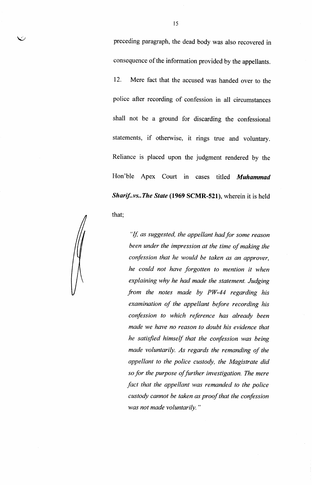preceding paragraph, the dead body was also recovered in consequence of the information provided by the appellants.

12. Mere fact that the accused was handed over to the police after recording of confession in all circumstances shall not be a ground for discarding the confessional statements, if otherwise, it rings true and voluntary. Reliance is placed upon the judgment rendered by the Hon'ble Apex Court in cases titled Muhammad Sharif..vs..The State (1969 SCMR-521), wherein it is held that;

 $\checkmark$ 

"If, as suggested, the appellant had for some reason been under the impression at the time of making the confession that he would be taken as an approver, he could not have forgotten to mention it when explaining why he had made the statement. Judging from the notes made by  $PW-44$  regarding his examination of the appellant before recording his confession to which reference has already been made we have no reason to doubt his evidence that he satisfied himself that the confession was being made voluntarily. As regards the remanding of the appellant to the police custody, the Magistrate did so for the purpose of further investigation. The mere fact that the appellant was remanded to the police custody cannot be taken as proof that the confession was not made voluntarily. "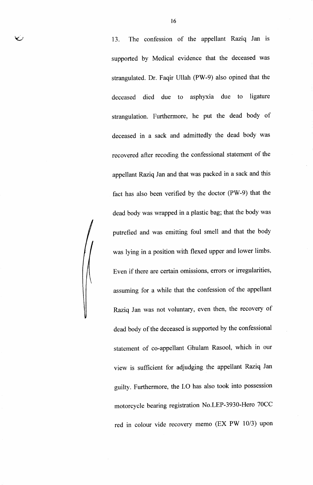13. The confession of the appellant Raziq Jan is supported by Medical evidence that the deceased was strangulated. Dr. Faqir Ullah (PW-9) also opined that the deceased died due to asphyxia due to ligature strangulation. Furthermore, he put the dead body of deceased in a sack and admittedly the dead body was recovered after recoding the confessional statement of the appellant Raziq Jan and that was packed in a sack and this fact has also been verified by the doctor (PW-9) that the dead body was wrapped in a plastic bag; that the body was putrefied and was emitting foul smell and that the body was lying in a position with flexed upper and lower limbs Even if there are certain omissions, errors or irregularities, assuming for a while that the confession of the appellant Raziq Jan was not voluntary, even then, the recovery of dead body of the deceased is supported by the confessional statement of co-appellant Ghulam Rasool, which in our view is sufficient for adjudging the appellant Raziq Jan guilty. Furthermore, the I.O has also took into possession motorcycle bearing registration No.LEP-3930-Hero 70CC red in colour vide recovery memo (EX PW 10/3) upon

v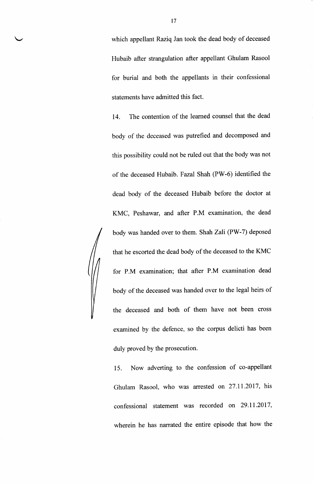which appellant Raziq Jan took the dead body of deceased Hubaib after strangulation after appellant Ghulam Rasool for burial and both the appellants in their confessional statements have admitted this fact.

14. The contention of the leamed counsel that the dead body of the deceased was putrefied and decomposed and this possibility could not be ruled out that the body was not of the deceased Hubaib. Fazal Shah (PW-6) identified the dead body of the deceased Hubaib before the doctor at KMC, Peshawar, and after P.M examination, the dead body was handed over to them. Shah Zali (PW-7) deposed that he escorted the dead body of the deceased to the KMC for P.M examination; that after P.M examination dead body of the deceased was handed over to the legal heirs of the deceased and both of them have not been cross examined by the defence, so the corpus delicti has been duly proved by the prosecution.

15. Now adverting to the confession of co-appellant Ghulam Rasool, who was arrested on 27.11.2017, his confessional statement was recorded on 29.11.2017, wherein he has narrated the entire episode that how the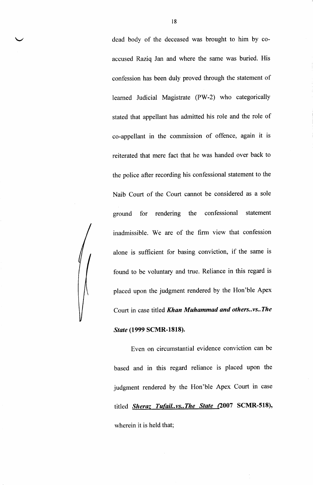dead body of the deceased was brought to him by coaccused Raziq Jan and where the same was buried. His confession has been duly proved through the statement of leamed Judicial Magistrate (PW-2) who categorically stated that appellant has admitted his role and the role of co-appellant in the commission of offence, again it is reiterated that mere fact that he was handed over back to the police after recording his confessional statement to the Naib Court of the Court cannot be considered as a sole ground for rendering the confessional statement inadmissible. We are of the firm view that confesslon alone is sufficient for basing conviction, if the same is found to be voluntary and true. Reliance in this regard is placed upon the judgment rendered by the Hon'ble Apex Court in case titled Khan Muhammad and others..vs..The

#### State (1999 SCMR-1818).

Even on circumstantial evidence conviction can be based and in this regard reliance is placed upon the judgment rendered by the Hon'ble Apex Court in case titled **Sheraz Tufail..vs..The State (2007 SCMR-518)**, wherein it is held that;

l8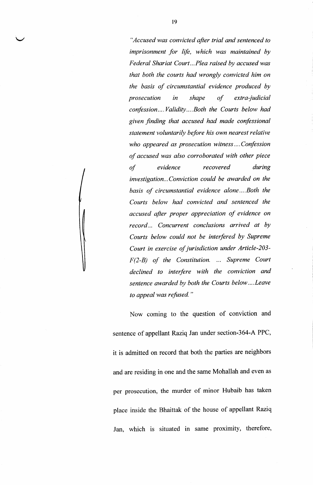"Accused was convicted after trial and sentenced to imprisonment for life, which was maintained by Federal Shariat Court...Plea raised by accused was that both the courts had wrongly convicted him on the basis of circumstantial evidence produced by prosecution in shape of extra-judicial confession....Validity....Both the Courts below had given finding that accused had made confessional statement voluntarily before his own nearest relative who appeared as prosecution witness....Confession of accused was also corroborated with other piece of evidence recovered during investigation...Conviction could be awarded on the basis of circumstantial evidence alone....Both the Courts below had convicted and sentenced the accused after proper appreciation of evidence on record... Concurrent conclusions arrived at by Courts below could not be interfered by Supreme Court in exercise of jurisdiction under Article-213-  $F(2-B)$  of the Constitution. ... Supreme Court declined to interfere with the conviction and sentence awarded by both the Courts below....Leave to appeal was refused."

Now coming to the question of conviction and sentence of appellant Raziq Jan under section-364-A PPC, it is admitted on record that both the parties are neighbors and are residing in one and the same Mohallah and even as per prosecution, the murder of minor Hubaib has taken place inside the Bhaittak of the house of appellant Raziq Jan, which is situated in same proximity, therefore,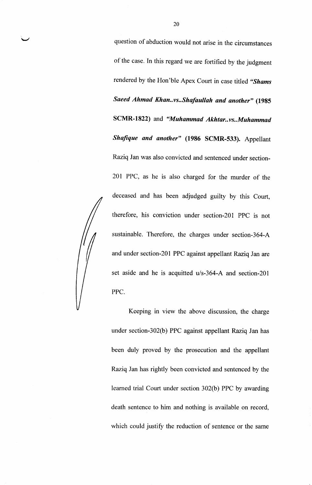question of abduction would not arise in the circumstances of the case. In this regard we are fortified by the judgment rendered by the Hon'ble Apex Court in case titled "Shams Saeed Ahmad Khan..vs..Shafaullah and another" (1985 SCMR-1822) and "Muhammad Akhtar..vs..Muhammad Shafique and another" (1986 SCMR-533). Appellant Raziq Jan was also convicted and sentenced under section-201 PPC, as he is also charged for the murder of the deceased and has been adjudged guilty by this Court, therefore, his conviction under section-20l PPC is not sustainable. Therefore, the charges under section-364-A and under section-201 PPC against appellant Raziq Jan are set aside and he is acquitted u/s-364-A and section-201 PPC

Keeping in view the above discussion, the charge under section-302(b) PPC against appellant Raziq Jan has been duly proved by the prosecution and the appellant Raziq Jan has rightly been convicted and sentenced by the learned trial Court under section 302(b) PPC by awarding death sentence to him and nothing is available on record, which could justify the reduction of sentence or the same